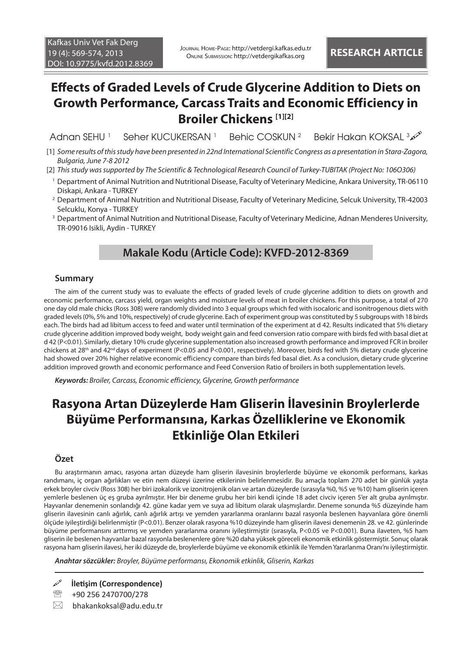# **Effects of Graded Levels of Crude Glycerine Addition to Diets on Growth Performance, Carcass Traits and Economic Efficiency in Broiler Chickens [1][2]**

Adnan SFHU<sup>1</sup> Seher KUCUKERSAN<sup>1</sup> Behic COSKUN 2 Bekir Hakan KOKSAL 3

- [1] *Some results of this study have been presented in 22nd International Scientific Congress as a presentation in Stara-Zagora, Bulgaria, June 7-8 2012*
- [2] *This study was supported by The Scientific & Technological Research Council of Turkey-TUBITAK (Project No: 106O306)*
- 1 Department of Animal Nutrition and Nutritional Disease, Faculty of Veterinary Medicine, Ankara University, TR-06110 Diskapi, Ankara - TURKEY
- 2 Department of Animal Nutrition and Nutritional Disease, Faculty of Veterinary Medicine, Selcuk University, TR-42003 Selcuklu, Konya - TURKEY
- 3 Department of Animal Nutrition and Nutritional Disease, Faculty of Veterinary Medicine, Adnan Menderes University, TR-09016 Isikli, Aydin - TURKEY

### **Makale Kodu (Article Code): KVFD-2012-8369**

#### **Summary**

The aim of the current study was to evaluate the effects of graded levels of crude glycerine addition to diets on growth and economic performance, carcass yield, organ weights and moisture levels of meat in broiler chickens. For this purpose, a total of 270 one day old male chicks (Ross 308) were randomly divided into 3 equal groups which fed with isocaloric and isonitrogenous diets with graded levels (0%, 5% and 10%, respectively) of crude glycerine. Each of experiment group was constituted by 5 subgroups with 18 birds each. The birds had ad libitum access to feed and water until termination of the experiment at d 42. Results indicated that 5% dietary crude glycerine addition improved body weight, body weight gain and feed conversion ratio compare with birds fed with basal diet at d 42 (P<0.01). Similarly, dietary 10% crude glycerine supplementation also increased growth performance and improved FCR in broiler chickens at 28th and 42nd days of experiment (P<0.05 and P<0.001, respectively). Moreover, birds fed with 5% dietary crude glycerine had showed over 20% higher relative economic efficiency compare than birds fed basal diet. As a conclusion, dietary crude glycerine addition improved growth and economic performance and Feed Conversion Ratio of broilers in both supplementation levels.

*Keywords: Broiler, Carcass, Economic efficiency, Glycerine, Growth performance*

# **Rasyona Artan Düzeylerde Ham Gliserin İlavesinin Broylerlerde Büyüme Performansına, Karkas Özelliklerine ve Ekonomik Etkinliğe Olan Etkileri**

#### **Özet**

Bu araştırmanın amacı, rasyona artan düzeyde ham gliserin ilavesinin broylerlerde büyüme ve ekonomik performans, karkas randımanı, iç organ ağırlıkları ve etin nem düzeyi üzerine etkilerinin belirlenmesidir. Bu amaçla toplam 270 adet bir günlük yaşta erkek broyler civciv (Ross 308) her biri izokalorik ve izonitrojenik olan ve artan düzeylerde (sırasıyla %0, %5 ve %10) ham gliserin içeren yemlerle beslenen üç eş gruba ayrılmıştır. Her bir deneme grubu her biri kendi içinde 18 adet civciv içeren 5'er alt gruba ayrılmıştır. Hayvanlar denemenin sonlandığı 42. güne kadar yem ve suya ad libitum olarak ulaşmışlardır. Deneme sonunda %5 düzeyinde ham gliserin ilavesinin canlı ağırlık, canlı ağırlık artışı ve yemden yararlanma oranlarını bazal rasyonla beslenen hayvanlara göre önemli ölçüde iyileştirdiği belirlenmiştir (P<0.01). Benzer olarak rasyona %10 düzeyinde ham gliserin ilavesi denemenin 28. ve 42. günlerinde büyüme performansını arttırmış ve yemden yararlanma oranını iyileştirmiştir (sırasıyla, P<0.05 ve P<0.001). Buna ilaveten, %5 ham gliserin ile beslenen hayvanlar bazal rasyonla beslenenlere göre %20 daha yüksek göreceli ekonomik etkinlik göstermiştir. Sonuç olarak rasyona ham gliserin ilavesi, her iki düzeyde de, broylerlerde büyüme ve ekonomik etkinlik ile Yemden Yararlanma Oranı'nı iyileştirmiştir.

*Anahtar sözcükler: Broyler, Büyüme performansı, Ekonomik etkinlik, Gliserin, Karkas*

**İletişim (Correspondence)**

<sup>2</sup> +90 256 2470700/278

 $\boxtimes$  bhakankoksal@adu.edu.tr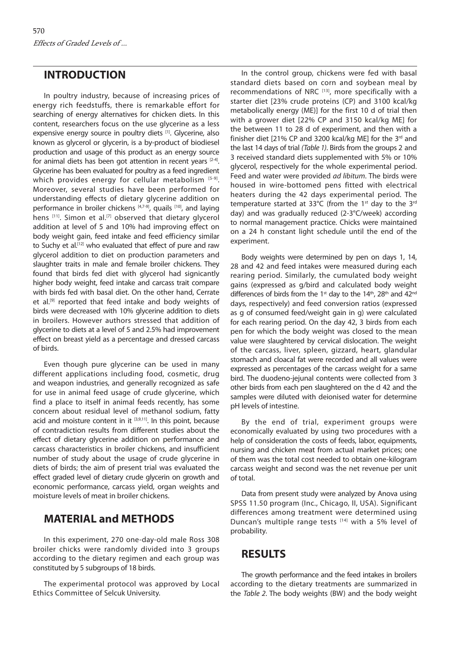#### **INTRODUCTION**

In poultry industry, because of increasing prices of energy rich feedstuffs, there is remarkable effort for searching of energy alternatives for chicken diets. In this content, researchers focus on the use glycerine as a less expensive energy source in poultry diets [1]. Glycerine, also known as glycerol or glycerin, is a by-product of biodiesel production and usage of this product as an energy source for animal diets has been got attention in recent years [2-4]. Glycerine has been evaluated for poultry as a feed ingredient which provides energy for cellular metabolism  $[5-9]$ . Moreover, several studies have been performed for understanding effects of dietary glycerine addition on performance in broiler chickens [4,7-9], quails [10], and laying hens [11]. Simon et al.<sup>[7]</sup> observed that dietary glycerol addition at level of 5 and 10% had improving effect on body weight gain, feed intake and feed efficiency similar to Suchy et al.<sup>[12]</sup> who evaluated that effect of pure and raw glycerol addition to diet on production parameters and slaughter traits in male and female broiler chickens. They found that birds fed diet with glycerol had signicantly higher body weight, feed intake and carcass trait compare with birds fed with basal diet. On the other hand, Cerrate et al.<sup>[9]</sup> reported that feed intake and body weights of birds were decreased with 10% glycerine addition to diets in broilers. However authors stressed that addition of glycerine to diets at a level of 5 and 2.5% had improvement effect on breast yield as a percentage and dressed carcass of birds.

Even though pure glycerine can be used in many different applications including food, cosmetic, drug and weapon industries, and generally recognized as safe for use in animal feed usage of crude glycerine, which find a place to itself in animal feeds recently, has some concern about residual level of methanol sodium, fatty acid and moisture content in it  $[3,9,11]$ . In this point, because of contradiction results from different studies about the effect of dietary glycerine addition on performance and carcass characteristics in broiler chickens, and insufficient number of study about the usage of crude glycerine in diets of birds; the aim of present trial was evaluated the effect graded level of dietary crude glycerin on growth and economic performance, carcass yield, organ weights and moisture levels of meat in broiler chickens.

#### **MATERIAL and METHODS**

In this experiment, 270 one-day-old male Ross 308 broiler chicks were randomly divided into 3 groups according to the dietary regimen and each group was constituted by 5 subgroups of 18 birds.

The experimental protocol was approved by Local Ethics Committee of Selcuk University.

In the control group, chickens were fed with basal standard diets based on corn and soybean meal by recommendations of NRC [13], more specifically with a starter diet [23% crude proteins (CP) and 3100 kcal/kg metabolically energy (ME)] for the first 10 d of trial then with a grower diet [22% CP and 3150 kcal/kg ME] for the between 11 to 28 d of experiment, and then with a finisher diet [21% CP and 3200 kcal/kg ME] for the 3rd and the last 14 days of trial *(Table 1)*. Birds from the groups 2 and 3 received standard diets supplemented with 5% or 10% glycerol, respectively for the whole experimental period. Feed and water were provided *ad libitum*. The birds were housed in wire-bottomed pens fitted with electrical heaters during the 42 days experimental period. The temperature started at 33°C (from the 1<sup>st</sup> day to the 3<sup>rd</sup> day) and was gradually reduced (2-3°C/week) according to normal management practice. Chicks were maintained on a 24 h constant light schedule until the end of the experiment.

Body weights were determined by pen on days 1, 14, 28 and 42 and feed intakes were measured during each rearing period. Similarly, the cumulated body weight gains (expressed as g/bird and calculated body weight differences of birds from the 1<sup>st</sup> day to the 14<sup>th</sup>, 28<sup>th</sup> and 42<sup>nd</sup> days, respectively) and feed conversion ratios (expressed as g of consumed feed/weight gain in g) were calculated for each rearing period. On the day 42, 3 birds from each pen for which the body weight was closed to the mean value were slaughtered by cervical dislocation. The weight of the carcass, liver, spleen, gizzard, heart, glandular stomach and cloacal fat were recorded and all values were expressed as percentages of the carcass weight for a same bird. The duodeno-jejunal contents were collected from 3 other birds from each pen slaughtered on the d 42 and the samples were diluted with deionised water for determine pH levels of intestine.

By the end of trial, experiment groups were economically evaluated by using two procedures with a help of consideration the costs of feeds, labor, equipments, nursing and chicken meat from actual market prices; one of them was the total cost needed to obtain one-kilogram carcass weight and second was the net revenue per unit of total.

Data from present study were analyzed by Anova using SPSS 11.50 program (Inc., Chicago, II, USA). Significant differences among treatment were determined using Duncan's multiple range tests [14] with a 5% level of probability.

## **RESULTS**

The growth performance and the feed intakes in broilers according to the dietary treatments are summarized in the *Table 2*. The body weights (BW) and the body weight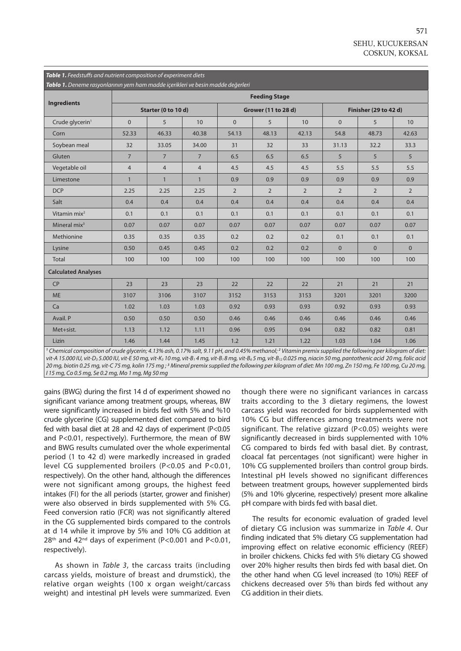| Table 1. Feedstuffs and nutrient composition of experiment diets                                                                                                                  |                      |                |                |                |                     |                |                              |                |                 |  |  |
|-----------------------------------------------------------------------------------------------------------------------------------------------------------------------------------|----------------------|----------------|----------------|----------------|---------------------|----------------|------------------------------|----------------|-----------------|--|--|
| Tablo 1. Deneme rasyonlarının yem ham madde içerikleri ve besin madde değerleri                                                                                                   |                      |                |                |                |                     |                |                              |                |                 |  |  |
| <b>Ingredients</b>                                                                                                                                                                | <b>Feeding Stage</b> |                |                |                |                     |                |                              |                |                 |  |  |
|                                                                                                                                                                                   | Starter (0 to 10 d)  |                |                |                | Grower (11 to 28 d) |                | <b>Finisher (29 to 42 d)</b> |                |                 |  |  |
| Crude glycerin <sup>1</sup>                                                                                                                                                       | $\Omega$             | 5              | 10             | $\Omega$       | 5                   | 10             | $\Omega$                     | 5              | 10 <sup>1</sup> |  |  |
| Corn                                                                                                                                                                              | 52.33                | 46.33          | 40.38          | 54.13          | 48.13               | 42.13          | 54.8                         | 48.73          | 42.63           |  |  |
| Soybean meal                                                                                                                                                                      | 32                   | 33.05          | 34.00          | 31             | 32                  | 33             | 31.13                        | 32.2           | 33.3            |  |  |
| Gluten                                                                                                                                                                            | $7\overline{ }$      | $\overline{7}$ | $\overline{7}$ | 6.5            | 6.5                 | 6.5            | 5                            | 5              | 5               |  |  |
| Vegetable oil                                                                                                                                                                     | $\overline{4}$       | $\overline{4}$ | 4              | 4.5            | 4.5                 | 4.5            | 5.5                          | 5.5            | 5.5             |  |  |
| Limestone                                                                                                                                                                         | $\mathbf{1}$         | $\mathbf{1}$   | $\mathbf{1}$   | 0.9            | 0.9                 | 0.9            | 0.9                          | 0.9            | 0.9             |  |  |
| <b>DCP</b>                                                                                                                                                                        | 2.25                 | 2.25           | 2.25           | $\overline{2}$ | $\overline{2}$      | $\overline{2}$ | $\overline{2}$               | $\overline{2}$ | $\overline{2}$  |  |  |
| Salt                                                                                                                                                                              | 0.4                  | 0.4            | 0.4            | 0.4            | 0.4                 | 0.4            | 0.4                          | 0.4            | 0.4             |  |  |
| Vitamin mix <sup>2</sup>                                                                                                                                                          | 0.1                  | 0.1            | 0.1            | 0.1            | 0.1                 | 0.1            | 0.1                          | 0.1            | 0.1             |  |  |
| Mineral $mix^3$                                                                                                                                                                   | 0.07                 | 0.07           | 0.07           | 0.07           | 0.07                | 0.07           | 0.07                         | 0.07           | 0.07            |  |  |
| Methionine                                                                                                                                                                        | 0.35                 | 0.35           | 0.35           | 0.2            | 0.2                 | 0.2            | 0.1                          | 0.1            | 0.1             |  |  |
| Lysine                                                                                                                                                                            | 0.50                 | 0.45           | 0.45           | 0.2            | 0.2                 | 0.2            | $\overline{0}$               | $\mathbf{0}$   | $\mathbf{0}$    |  |  |
| Total                                                                                                                                                                             | 100                  | 100            | 100            | 100            | 100                 | 100            | 100                          | 100            | 100             |  |  |
| <b>Calculated Analyses</b>                                                                                                                                                        |                      |                |                |                |                     |                |                              |                |                 |  |  |
| CP                                                                                                                                                                                | 23                   | 23             | 23             | 22             | 22                  | 22             | 21                           | 21             | 21              |  |  |
| <b>ME</b>                                                                                                                                                                         | 3107                 | 3106           | 3107           | 3152           | 3153                | 3153           | 3201                         | 3201           | 3200            |  |  |
| Ca                                                                                                                                                                                | 1.02                 | 1.03           | 1.03           | 0.92           | 0.93                | 0.93           | 0.92                         | 0.93           | 0.93            |  |  |
| Avail. P                                                                                                                                                                          | 0.50                 | 0.50           | 0.50           | 0.46           | 0.46                | 0.46           | 0.46                         | 0.46           | 0.46            |  |  |
| Met+sist.                                                                                                                                                                         | 1.13                 | 1.12           | 1.11           | 0.96           | 0.95                | 0.94           | 0.82                         | 0.82           | 0.81            |  |  |
| Lizin                                                                                                                                                                             | 1.46                 | 1.44           | 1.45           | 1.2            | 1.21                | 1.22           | 1.03                         | 1.04           | 1.06            |  |  |
| <sup>1</sup> Chemical composition of crude glycerin; 4.13% ash, 0.17% salt, 9.11 pH, and 0.45% methanol; <sup>2</sup> Vitamin premix supplied the following per kilogram of diet: |                      |                |                |                |                     |                |                              |                |                 |  |  |

*vit-A 15.000 IU, vit-D3 5.000 IU, vit-E 50 mg, vit-K3 10 mg, vit-B1 4 mg, vit-B1 8 mg, vit-B6 5 mg, vit-B12 0.025 mg, niacin 50 mg, pantothenic acid 20 mg, folic acid*  20 mg, biotin 0.25 mg, vit-C 75 mg, kolin 175 mg ; <sup>3</sup> Mineral premix supplied the following per kilogram of diet: Mn 100 mg, Zn 150 mg, Fe 100 mg, Cu 20 mg, *I 15 mg, Co 0.5 mg, Se 0.2 mg, Mo 1 mg, Mg 50 mg*

gains (BWG) during the first 14 d of experiment showed no significant variance among treatment groups, whereas, BW were significantly increased in birds fed with 5% and %10 crude glycerine (CG) supplemented diet compared to bird fed with basal diet at 28 and 42 days of experiment (P<0.05 and P<0.01, respectively). Furthermore, the mean of BW and BWG results cumulated over the whole experimental period (1 to 42 d) were markedly increased in graded level CG supplemented broilers (P<0.05 and P<0.01, respectively). On the other hand, although the differences were not significant among groups, the highest feed intakes (FI) for the all periods (starter, grower and finisher) were also observed in birds supplemented with 5% CG. Feed conversion ratio (FCR) was not significantly altered in the CG supplemented birds compared to the controls at d 14 while it improve by 5% and 10% CG addition at  $28<sup>th</sup>$  and  $42<sup>nd</sup>$  days of experiment (P<0.001 and P<0.01, respectively).

As shown in *Table 3*, the carcass traits (including carcass yields, moisture of breast and drumstick), the relative organ weights (100 x organ weight/carcass weight) and intestinal pH levels were summarized. Even

though there were no significant variances in carcass traits according to the 3 dietary regimens, the lowest carcass yield was recorded for birds supplemented with 10% CG but differences among treatments were not significant. The relative gizzard (P<0.05) weights were significantly decreased in birds supplemented with 10% CG compared to birds fed with basal diet. By contrast, cloacal fat percentages (not significant) were higher in 10% CG supplemented broilers than control group birds. Intestinal pH levels showed no significant differences between treatment groups, however supplemented birds (5% and 10% glycerine, respectively) present more alkaline pH compare with birds fed with basal diet.

The results for economic evaluation of graded level of dietary CG inclusion was summarize in *Table 4*. Our finding indicated that 5% dietary CG supplementation had improving effect on relative economic efficiency (REEF) in broiler chickens. Chicks fed with 5% dietary CG showed over 20% higher results then birds fed with basal diet. On the other hand when CG level increased (to 10%) REEF of chickens decreased over 5% than birds fed without any CG addition in their diets.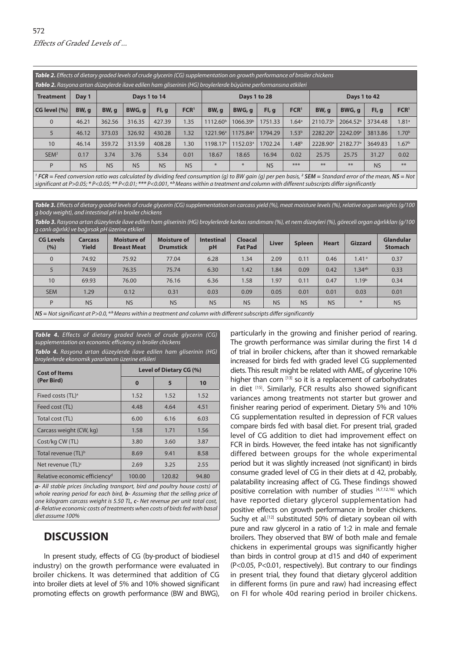*Table 2. Effects of dietary graded levels of crude glycerin (CG) supplementation on growth performance of broiler chickens*

| <b>Tablo 2.</b> Rasyona artan düzeylerde ilave edilen ham gliserinin (HG) broylerlerde büyüme performansına etkileri                                     |           |              |           |           |                  |                      |                      |           |                   |                      |                      |           |                   |
|----------------------------------------------------------------------------------------------------------------------------------------------------------|-----------|--------------|-----------|-----------|------------------|----------------------|----------------------|-----------|-------------------|----------------------|----------------------|-----------|-------------------|
| <b>Treatment</b>                                                                                                                                         | Day 1     | Days 1 to 14 |           |           |                  | Days 1 to 28         |                      |           |                   | Days 1 to 42         |                      |           |                   |
| CG level (%)                                                                                                                                             | BW, q     | BW, q        | BWG, q    | Fl, q     | FCR <sup>1</sup> | BW, q                | BWG, q               | Fl, q     | FCR <sup>1</sup>  | BW, q                | BWG, a               | FI, q     | FCR <sup>1</sup>  |
| $\overline{0}$                                                                                                                                           | 46.21     | 362.56       | 316.35    | 427.39    | 1.35             | 1112.60 <sup>b</sup> | 1066.39 <sup>b</sup> | 1751.33   | $1.64^{\circ}$    | 2110.73 <sup>b</sup> | 2064.52 <sup>b</sup> | 3734.48   | 1.81 <sup>a</sup> |
| 5                                                                                                                                                        | 46.12     | 373.03       | 326.92    | 430.28    | 1.32             | 1221.96 <sup>a</sup> | 1175.84 <sup>a</sup> | 1794.29   | 1.53 <sup>b</sup> | 2282.20 <sup>a</sup> | 2242.09 <sup>a</sup> | 3813.86   | 1.70 <sup>b</sup> |
| 10                                                                                                                                                       | 46.14     | 359.72       | 313.59    | 408.28    | 1.30             | 1198.17 <sup>a</sup> | 1152.03 <sup>a</sup> | 1702.24   | 1.48 <sup>b</sup> | 2228.90 <sup>a</sup> | 2182.77 <sup>a</sup> | 3649.83   | 1.67 <sup>b</sup> |
| SEM <sup>2</sup>                                                                                                                                         | 0.17      | 3.74         | 3.76      | 5.34      | 0.01             | 18.67                | 18.65                | 16.94     | 0.02              | 25.75                | 25.75                | 31.27     | 0.02              |
| P                                                                                                                                                        | <b>NS</b> | <b>NS</b>    | <b>NS</b> | <b>NS</b> | <b>NS</b>        | *                    | $*$                  | <b>NS</b> | ***               | **                   | $**$                 | <b>NS</b> | **                |
| $ECD -$ Engl conversion ratio was calculated by dividing food consumption (a) to RIM agin (a) per pen basis 2 SEM – Standard error of the mean, NS – Not |           |              |           |           |                  |                      |                      |           |                   |                      |                      |           |                   |

 *FCR = Feed conversion ratio was calculated by dividing feed consumption (g) to BW gain (g) per pen basis, <sup>2</sup> SEM = Standard error of the mean, NS = Not significant at P>0.05; \* P<0.05; \*\* P<0.01; \*\*\* P<0.001, a,b Means within a treatment and column with different subscripts differ significantly*

*Table 3. Effects of dietary graded levels of crude glycerin (CG) supplementation on carcass yield (%), meat moisture levels (%), relative organ weights (g/100 g body weight), and intestinal pH in broiler chickens*

*Tablo 3. Rasyona artan düzeylerde ilave edilen ham gliserinin (HG) broylerlerde karkas randımanı (%), et nem düzeyleri (%), göreceli organ ağırlıkları (g/100 g canlı ağırlık) ve bağırsak pH üzerine etkileri*

| $\frac{1}{2}$ cannot a given $\frac{1}{2}$ it is being noting to the contract of the set of the set of the set of the set of the set of the set of the set of the set of the set of the set of the set of the set of the set of the s |                                |                                          |                                        |                         |                                  |              |               |              |                    |                                    |
|---------------------------------------------------------------------------------------------------------------------------------------------------------------------------------------------------------------------------------------|--------------------------------|------------------------------------------|----------------------------------------|-------------------------|----------------------------------|--------------|---------------|--------------|--------------------|------------------------------------|
| <b>CG Levels</b><br>(%)                                                                                                                                                                                                               | <b>Carcass</b><br><b>Yield</b> | <b>Moisture of</b><br><b>Breast Meat</b> | <b>Moisture of</b><br><b>Drumstick</b> | <b>Intestinal</b><br>pH | <b>Cloacal</b><br><b>Fat Pad</b> | <b>Liver</b> | <b>Spleen</b> | <b>Heart</b> | <b>Gizzard</b>     | <b>Glandular</b><br><b>Stomach</b> |
| $\Omega$                                                                                                                                                                                                                              | 74.92                          | 75.92                                    | 77.04                                  | 6.28                    | 1.34                             | 2.09         | 0.11          | 0.46         | 1.41 <sup>a</sup>  | 0.37                               |
| $5^{\circ}$                                                                                                                                                                                                                           | 74.59                          | 76.35                                    | 75.74                                  | 6.30                    | 1.42                             | 1.84         | 0.09          | 0.42         | 1.34 <sup>ab</sup> | 0.33                               |
| 10                                                                                                                                                                                                                                    | 69.93                          | 76.00                                    | 76.16                                  | 6.36                    | 1.58                             | 1.97         | 0.11          | 0.47         | 1.19 <sup>b</sup>  | 0.34                               |
| <b>SEM</b>                                                                                                                                                                                                                            | 1.29                           | 0.12                                     | 0.31                                   | 0.03                    | 0.09                             | 0.05         | 0.01          | 0.01         | 0.03               | 0.01                               |
| P                                                                                                                                                                                                                                     | <b>NS</b>                      | <b>NS</b>                                | <b>NS</b>                              | <b>NS</b>               | <b>NS</b>                        | <b>NS</b>    | <b>NS</b>     | <b>NS</b>    | $*$                | <b>NS</b>                          |
| $\overline{MS}$ – Not cignificant at P $\searrow$ 0.0, <sup>a,b</sup> Mogne within a treatment and column with different subscripts differ significantly                                                                              |                                |                                          |                                        |                         |                                  |              |               |              |                    |                                    |

*NS = Not significant at P>0.0, a.b Means within a treatment and column with different subscripts differ significantly*

| <b>Table 4.</b> Effects of dietary graded levels of crude glycerin (CG)<br>supplementation on economic efficiency in broiler chickens<br>Tablo 4. Rasyona artan düzeylerde ilave edilen ham gliserinin (HG)<br>broylerlerde ekonomik yararlanım üzerine etkileri |                                |        |       |  |  |  |  |  |  |
|------------------------------------------------------------------------------------------------------------------------------------------------------------------------------------------------------------------------------------------------------------------|--------------------------------|--------|-------|--|--|--|--|--|--|
| <b>Cost of Items</b>                                                                                                                                                                                                                                             | <b>Level of Dietary CG (%)</b> |        |       |  |  |  |  |  |  |
| (Per Bird)                                                                                                                                                                                                                                                       | $\bf{0}$                       | 5      | 10    |  |  |  |  |  |  |
| Fixed costs (TL) <sup>a</sup>                                                                                                                                                                                                                                    | 1.52                           | 1.52   | 1.52  |  |  |  |  |  |  |
| Feed cost (TL)                                                                                                                                                                                                                                                   | 4.48                           | 4.64   | 4.51  |  |  |  |  |  |  |
| Total cost (TL)                                                                                                                                                                                                                                                  | 6.00                           | 6.16   | 6.03  |  |  |  |  |  |  |
| Carcass weight (CW, kg)                                                                                                                                                                                                                                          | 1.58                           | 1.71   | 1.56  |  |  |  |  |  |  |
| Cost/kg CW (TL)                                                                                                                                                                                                                                                  | 3.80                           | 3.60   | 3.87  |  |  |  |  |  |  |
| Total revenue (TL) <sup>b</sup>                                                                                                                                                                                                                                  | 8.69                           | 9.41   | 8.58  |  |  |  |  |  |  |
| Net revenue $(TL)^c$                                                                                                                                                                                                                                             | 2.69                           | 3.25   | 2.55  |  |  |  |  |  |  |
| Relative economic efficiency <sup>d</sup>                                                                                                                                                                                                                        | 100.00                         | 120.82 | 94.80 |  |  |  |  |  |  |

*a- All stable prices (including transport, bird and poultry house costs) of whole rearing period for each bird, b- Assuming that the selling price of one kilogram carcass weight is 5.50 TL, c- Net revenue per unit total cost, d- Relative economic costs of treatments when costs of birds fed with basal diet assume 100%*

## **DISCUSSION**

In present study, effects of CG (by-product of biodiesel industry) on the growth performance were evaluated in broiler chickens. It was determined that addition of CG into broiler diets at level of 5% and 10% showed significant promoting effects on growth performance (BW and BWG), particularly in the growing and finisher period of rearing. The growth performance was similar during the first 14 d of trial in broiler chickens, after than it showed remarkable increased for birds fed with graded level CG supplemented diets. This result might be related with AME<sub>n</sub> of glycerine 10% higher than corn  $[13]$  so it is a replacement of carbohydrates in diet [15]. Similarly, FCR results also showed significant variances among treatments not starter but grower and finisher rearing period of experiment. Dietary 5% and 10% CG supplementation resulted in depression of FCR values compare birds fed with basal diet. For present trial, graded level of CG addition to diet had improvement effect on FCR in birds. However, the feed intake has not significantly differed between groups for the whole experimental period but it was slightly increased (not significant) in birds consume graded level of CG in their diets at d 42, probably, palatability increasing affect of CG. These findings showed positive correlation with number of studies [4,7,12,16] which have reported dietary glycerol supplementation had positive effects on growth performance in broiler chickens. Suchy et al.<sup>[12]</sup> substituted 50% of dietary soybean oil with pure and raw glycerol in a ratio of 1:2 in male and female broilers. They observed that BW of both male and female chickens in experimental groups was significantly higher than birds in control group at d15 and d40 of experiment (P<0.05, P<0.01, respectively). But contrary to our findings in present trial, they found that dietary glycerol addition in different forms (in pure and raw) had increasing effect on FI for whole 40d rearing period in broiler chickens.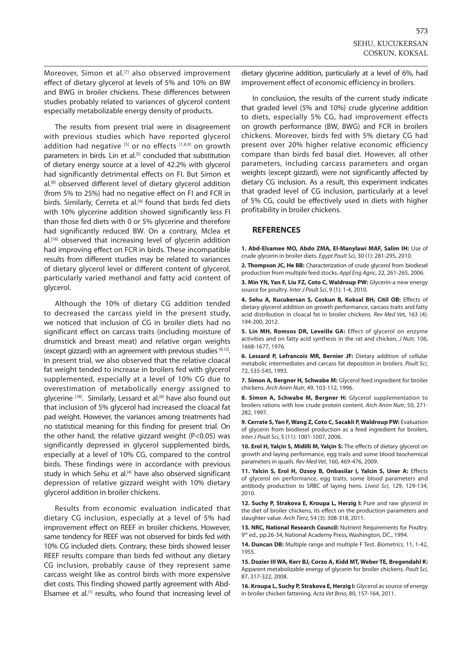Moreover, Simon et al.<sup>[7]</sup> also observed improvement effect of dietary glycerol at levels of 5% and 10% on BW and BWG in broiler chickens. These differences between studies probably related to variances of glycerol content especially metabolizable energy density of products.

The results from present trial were in disagreement with previous studies which have reported glycerol addition had negative  $[5]$  or no effects  $[1,8,9]$  on growth parameters in birds. Lin et al.<sup>[5]</sup> concluded that substitution of dietary energy source at a level of 42.2% with glycerol had significantly detrimental effects on FI. But Simon et al.[8] observed different level of dietary glycerol addition (from 5% to 25%) had no negative effect on FI and FCR in birds. Similarly, Cerreta et al.<sup>[9]</sup> found that birds fed diets with 10% glycerine addition showed significantly less FI than those fed diets with 0 or 5% glycerine and therefore had significantly reduced BW. On a contrary, Mclea et al.[16] observed that increasing level of glycerin addition had improving effect on FCR in birds. These incompatible results from different studies may be related to variances of dietary glycerol level or different content of glycerol, particularly varied methanol and fatty acid content of glycerol.

Although the 10% of dietary CG addition tended to decreased the carcass yield in the present study, we noticed that inclusion of CG in broiler diets had no significant effect on carcass traits (including moisture of drumstick and breast meat) and relative organ weights (except gizzard) with an agreement with previous studies [9,12]. In present trial, we also observed that the relative cloacal fat weight tended to increase in broilers fed with glycerol supplemented, especially at a level of 10% CG due to overestimation of metabolically energy assigned to glycerine [18]. Similarly, Lessard et al.<sup>[6]</sup> have also found out that inclusion of 5% glycerol had increased the cloacal fat pad weight. However, the variances among treatments had no statistical meaning for this finding for present trial. On the other hand, the relative gizzard weight (P<0.05) was significantly depressed in glycerol supplemented birds, especially at a level of 10% CG, compared to the control birds. These findings were in accordance with previous study in which Sehu et al.<sup>[4]</sup> have also observed significant depression of relative gizzard weight with 10% dietary glycerol addition in broiler chickens.

Results from economic evaluation indicated that dietary CG inclusion, especially at a level of 5% had improvement effect on REEF in broiler chickens. However, same tendency for REEF was not observed for birds fed with 10% CG included diets. Contrary, these birds showed lesser REEF results compare than birds fed without any dietary CG inclusion, probably cause of they represent same carcass weight like as control birds with more expensive diet costs. This finding showed partly agreement with Abd-Elsamee et al.<sup>[1]</sup> results, who found that increasing level of

dietary glycerine addition, particularly at a level of 6%, had improvement effect of economic efficiency in broilers.

In conclusion, the results of the current study indicate that graded level (5% and 10%) crude glycerine addition to diets, especially 5% CG, had improvement effects on growth performance (BW, BWG) and FCR in broilers chickens. Moreover, birds fed with 5% dietary CG had present over 20% higher relative economic efficiency compare than birds fed basal diet. However, all other parameters, including carcass parameters and organ weights (except gizzard), were not significantly affected by dietary CG inclusion. As a result, this experiment indicates that graded level of CG inclusion, particularly at a level of 5% CG, could be effectively used in diets with higher profitability in broiler chickens.

#### **REFERENCES**

**1. Abd-Elsamee MO, Abdo ZMA, El-Manylawi MAF, Salim IH:** Use of crude glycerin in broiler diets. *Egypt Poult Sci,* 30 (1): 281-295, 2010.

**2. Thompson JC, He BB:** Characterization of crude glycerol from biodiesel production from multiple feed stocks. *Appl Eng Agric*, 22, 261-265, 2006.

**3. Min YN, Yan F, Liu FZ, Coto C, Waldroup PW:** Glycerin-a new energy source for poultry. *Inter J Poult Sci*, 9 (1): 1-4, 2010.

**4. Sehu A, Kucukersan S, Coskun B, Koksal BH, Citil OB:** Effects of dietary glycerol addition on growth performance, carcass traits and fatty acid distribution in cloacal fat in broiler chickens. *Rev Med Ve*t, 163 (4): 194-200, 2012.

**5. Lin MH, Romsos DR, Leveille GA:** Effect of glycerol on enzyme activities and on fatty acid synthesis in the rat and chicken, *J Nutr,* 106, 1668-1677, 1976.

**6. Lessard P, Lefrancois MR, Bernier JF:** Dietary addition of cellular metabolic intermediates and carcass fat deposition in broilers. *Poult Sci*, 72, 535-545, 1993.

**7. Simon A, Bergner H, Schwabe M:** Glycerol feed ingredient for broiler chickens. *Arch Anim Nutr*, 49, 103-112, 1996.

**8. Simon A, Schwabe M, Bergner H:** Glycerol supplementation to broilers rations with low crude protein content. *Arch Anim Nutr*, 50, 271- 282, 1997.

**9. Cerrate S, Yan F, Wang Z, Coto C, Sacakli P, Waldroup PW:** Evaluation of glycerin from biodiesel production as a feed ingredient for broilers, *Inter J Poult Sci*, 5 (11): 1001-1007, 2006.

**10. Erol H, Yalçin S, Midilli M, Yalçin S:** The effects of dietary glycerol on growth and laying performance, egg trails and some blood biochemical parameters in quails. *Rev Med Vet*, 160, 469-476, 2009.

**11. Yalcin S, Erol H, Ozsoy B, Onbasilar I, Yalcin S, Uner A:** Effects of glycerol on performance, egg traits, some blood parameters and antibody production to SRBC of laying hens. *Livest Sci*, 129, 129-134, 2010.

**12. Suchy P, Strakova E, Kroupa L, Herzig I:** Pure and raw glycerol in the diet of broiler chickens, its effect on the production parameters and slaughter value. *Arch Tierz*, 54 (3): 308-318, 2011.

**13. NRC, National Research Council:** Nutrient Requirements for Poultry. 9<sup>th</sup> ed., pp.26-34, National Academy Press, Washington, DC., 1994.

**14. Duncan DB:** Multiple range and multiple F Test. *Biometrics*, 11, 1-42, 1955.

**15. Dozier III WA, Kerr BJ, Corzo A, Kidd MT, Weber TE, Bregendahl K:**  Apparent metabolizable energy of glycerin for broiler chickens. *Poult Sci*, 87, 317-322, 2008.

**16. Kroupa L, Suchy P, Strakova E, Herzig I:** Glycerol as source of energy in broiler chicken fattening. *Acta Vet Brno*, 80, 157-164, 2011.